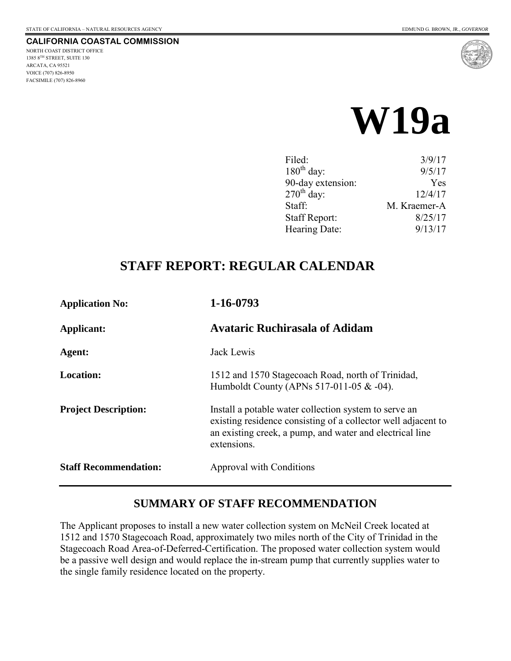#### **CALIFORNIA COASTAL COMMISSION**

NORTH COAST DISTRICT OFFICE 1385 8TH STREET, SUITE 130 ARCATA, CA 95521 VOICE (707) 826-8950 FACSIMILE (707) 826-8960



# **W19a**

| Filed:               | 3/9/17       |
|----------------------|--------------|
| $180th$ day:         | 9/5/17       |
| 90-day extension:    | Yes          |
| $270th$ day:         | 12/4/17      |
| Staff:               | M. Kraemer-A |
| <b>Staff Report:</b> | 8/25/17      |
| Hearing Date:        | 9/13/17      |

## **STAFF REPORT: REGULAR CALENDAR**

| <b>Application No:</b>       | 1-16-0793                                                                                                                                                                                         |
|------------------------------|---------------------------------------------------------------------------------------------------------------------------------------------------------------------------------------------------|
| Applicant:                   | <b>Avataric Ruchirasala of Adidam</b>                                                                                                                                                             |
| Agent:                       | Jack Lewis                                                                                                                                                                                        |
| <b>Location:</b>             | 1512 and 1570 Stagecoach Road, north of Trinidad,<br>Humboldt County (APNs 517-011-05 & -04).                                                                                                     |
| <b>Project Description:</b>  | Install a potable water collection system to serve an<br>existing residence consisting of a collector well adjacent to<br>an existing creek, a pump, and water and electrical line<br>extensions. |
| <b>Staff Recommendation:</b> | Approval with Conditions                                                                                                                                                                          |

#### **SUMMARY OF STAFF RECOMMENDATION**

The Applicant proposes to install a new water collection system on McNeil Creek located at 1512 and 1570 Stagecoach Road, approximately two miles north of the City of Trinidad in the Stagecoach Road Area-of-Deferred-Certification. The proposed water collection system would be a passive well design and would replace the in-stream pump that currently supplies water to the single family residence located on the property.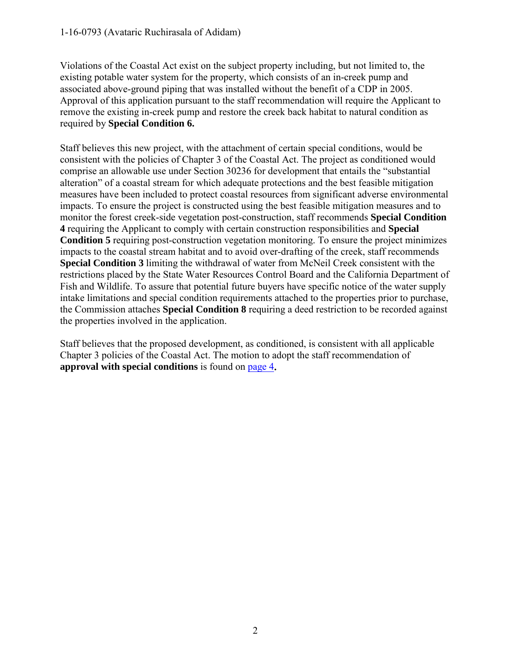Violations of the Coastal Act exist on the subject property including, but not limited to, the existing potable water system for the property, which consists of an in-creek pump and associated above-ground piping that was installed without the benefit of a CDP in 2005. Approval of this application pursuant to the staff recommendation will require the Applicant to remove the existing in-creek pump and restore the creek back habitat to natural condition as required by **Special Condition 6.**

Staff believes this new project, with the attachment of certain special conditions, would be consistent with the policies of Chapter 3 of the Coastal Act. The project as conditioned would comprise an allowable use under Section 30236 for development that entails the "substantial alteration" of a coastal stream for which adequate protections and the best feasible mitigation measures have been included to protect coastal resources from significant adverse environmental impacts. To ensure the project is constructed using the best feasible mitigation measures and to monitor the forest creek-side vegetation post-construction, staff recommends **Special Condition 4** requiring the Applicant to comply with certain construction responsibilities and **Special Condition 5** requiring post-construction vegetation monitoring. To ensure the project minimizes impacts to the coastal stream habitat and to avoid over-drafting of the creek, staff recommends **Special Condition 3** limiting the withdrawal of water from McNeil Creek consistent with the restrictions placed by the State Water Resources Control Board and the California Department of Fish and Wildlife. To assure that potential future buyers have specific notice of the water supply intake limitations and special condition requirements attached to the properties prior to purchase, the Commission attaches **Special Condition 8** requiring a deed restriction to be recorded against the properties involved in the application.

Staff believes that the proposed development, as conditioned, is consistent with all applicable Chapter 3 policies of the Coastal Act. The motion to adopt the staff recommendation of **approval with special conditions** is found on [page 4](#page-3-0)**.**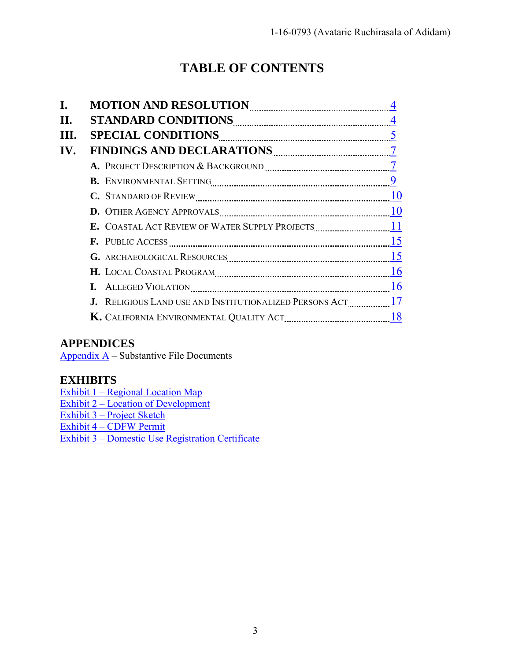## **TABLE OF CONTENTS**

| L.  |                |
|-----|----------------|
| Н.  | $\overline{4}$ |
| HL. |                |
| IV. |                |
|     |                |
|     |                |
|     |                |
|     |                |
|     |                |
|     |                |
|     |                |
|     |                |
|     |                |
|     |                |
|     |                |
|     |                |

#### **APPENDICES**

Appendix  $\overline{A}$  – Substantive File Documents

## **EXHIBITS**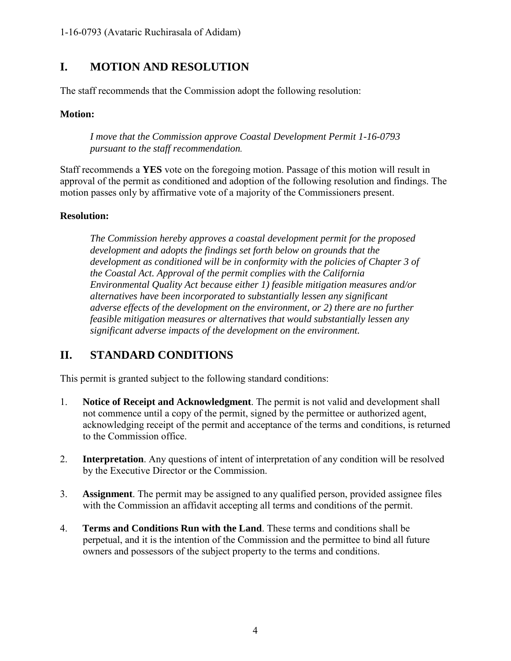### <span id="page-3-0"></span>**I. MOTION AND RESOLUTION**

The staff recommends that the Commission adopt the following resolution:

#### **Motion:**

*I move that the Commission approve Coastal Development Permit 1-16-0793 pursuant to the staff recommendation.* 

Staff recommends a **YES** vote on the foregoing motion. Passage of this motion will result in approval of the permit as conditioned and adoption of the following resolution and findings. The motion passes only by affirmative vote of a majority of the Commissioners present.

#### **Resolution:**

*The Commission hereby approves a coastal development permit for the proposed development and adopts the findings set forth below on grounds that the development as conditioned will be in conformity with the policies of Chapter 3 of the Coastal Act. Approval of the permit complies with the California Environmental Quality Act because either 1) feasible mitigation measures and/or alternatives have been incorporated to substantially lessen any significant adverse effects of the development on the environment, or 2) there are no further feasible mitigation measures or alternatives that would substantially lessen any significant adverse impacts of the development on the environment.* 

## <span id="page-3-1"></span>**II. STANDARD CONDITIONS**

This permit is granted subject to the following standard conditions:

- 1. **Notice of Receipt and Acknowledgment**. The permit is not valid and development shall not commence until a copy of the permit, signed by the permittee or authorized agent, acknowledging receipt of the permit and acceptance of the terms and conditions, is returned to the Commission office.
- 2. **Interpretation**. Any questions of intent of interpretation of any condition will be resolved by the Executive Director or the Commission.
- 3. **Assignment**. The permit may be assigned to any qualified person, provided assignee files with the Commission an affidavit accepting all terms and conditions of the permit.
- 4. **Terms and Conditions Run with the Land**. These terms and conditions shall be perpetual, and it is the intention of the Commission and the permittee to bind all future owners and possessors of the subject property to the terms and conditions.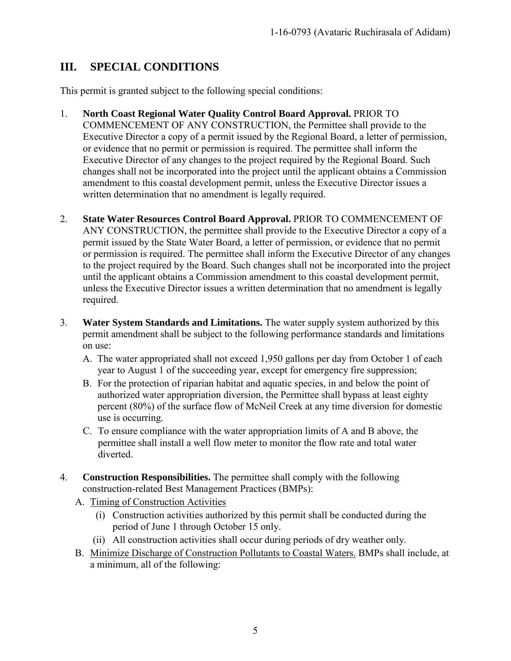## <span id="page-4-0"></span>**III. SPECIAL CONDITIONS**

This permit is granted subject to the following special conditions:

- 1. **North Coast Regional Water Quality Control Board Approval.** PRIOR TO COMMENCEMENT OF ANY CONSTRUCTION, the Permittee shall provide to the Executive Director a copy of a permit issued by the Regional Board, a letter of permission, or evidence that no permit or permission is required. The permittee shall inform the Executive Director of any changes to the project required by the Regional Board. Such changes shall not be incorporated into the project until the applicant obtains a Commission amendment to this coastal development permit, unless the Executive Director issues a written determination that no amendment is legally required.
- 2. **State Water Resources Control Board Approval.** PRIOR TO COMMENCEMENT OF ANY CONSTRUCTION, the permittee shall provide to the Executive Director a copy of a permit issued by the State Water Board, a letter of permission, or evidence that no permit or permission is required. The permittee shall inform the Executive Director of any changes to the project required by the Board. Such changes shall not be incorporated into the project until the applicant obtains a Commission amendment to this coastal development permit, unless the Executive Director issues a written determination that no amendment is legally required.
- 3. **Water System Standards and Limitations.** The water supply system authorized by this permit amendment shall be subject to the following performance standards and limitations on use:
	- A. The water appropriated shall not exceed 1,950 gallons per day from October 1 of each year to August 1 of the succeeding year, except for emergency fire suppression;
	- B. For the protection of riparian habitat and aquatic species, in and below the point of authorized water appropriation diversion, the Permittee shall bypass at least eighty percent (80%) of the surface flow of McNeil Creek at any time diversion for domestic use is occurring.
	- C. To ensure compliance with the water appropriation limits of A and B above, the permittee shall install a well flow meter to monitor the flow rate and total water diverted.
- 4. **Construction Responsibilities.** The permittee shall comply with the following construction-related Best Management Practices (BMPs):
	- A. Timing of Construction Activities
		- (i) Construction activities authorized by this permit shall be conducted during the period of June 1 through October 15 only.
		- (ii) All construction activities shall occur during periods of dry weather only.
	- B. Minimize Discharge of Construction Pollutants to Coastal Waters. BMPs shall include, at a minimum, all of the following: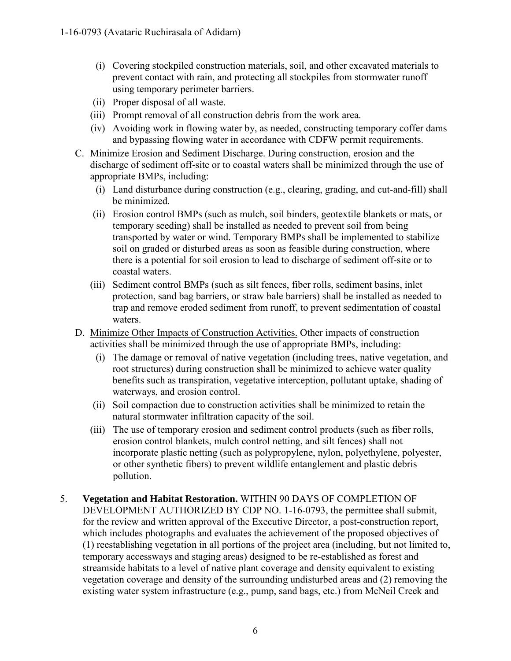- (i) Covering stockpiled construction materials, soil, and other excavated materials to prevent contact with rain, and protecting all stockpiles from stormwater runoff using temporary perimeter barriers.
- (ii) Proper disposal of all waste.
- (iii) Prompt removal of all construction debris from the work area.
- (iv) Avoiding work in flowing water by, as needed, constructing temporary coffer dams and bypassing flowing water in accordance with CDFW permit requirements.
- C. Minimize Erosion and Sediment Discharge. During construction, erosion and the discharge of sediment off-site or to coastal waters shall be minimized through the use of appropriate BMPs, including:
	- (i) Land disturbance during construction (e.g., clearing, grading, and cut-and-fill) shall be minimized.
	- (ii) Erosion control BMPs (such as mulch, soil binders, geotextile blankets or mats, or temporary seeding) shall be installed as needed to prevent soil from being transported by water or wind. Temporary BMPs shall be implemented to stabilize soil on graded or disturbed areas as soon as feasible during construction, where there is a potential for soil erosion to lead to discharge of sediment off-site or to coastal waters.
	- (iii) Sediment control BMPs (such as silt fences, fiber rolls, sediment basins, inlet protection, sand bag barriers, or straw bale barriers) shall be installed as needed to trap and remove eroded sediment from runoff, to prevent sedimentation of coastal waters.
- D. Minimize Other Impacts of Construction Activities. Other impacts of construction activities shall be minimized through the use of appropriate BMPs, including:
	- (i) The damage or removal of native vegetation (including trees, native vegetation, and root structures) during construction shall be minimized to achieve water quality benefits such as transpiration, vegetative interception, pollutant uptake, shading of waterways, and erosion control.
	- (ii) Soil compaction due to construction activities shall be minimized to retain the natural stormwater infiltration capacity of the soil.
	- (iii) The use of temporary erosion and sediment control products (such as fiber rolls, erosion control blankets, mulch control netting, and silt fences) shall not incorporate plastic netting (such as polypropylene, nylon, polyethylene, polyester, or other synthetic fibers) to prevent wildlife entanglement and plastic debris pollution.
- 5. **Vegetation and Habitat Restoration.** WITHIN 90 DAYS OF COMPLETION OF DEVELOPMENT AUTHORIZED BY CDP NO. 1-16-0793, the permittee shall submit, for the review and written approval of the Executive Director, a post-construction report, which includes photographs and evaluates the achievement of the proposed objectives of (1) reestablishing vegetation in all portions of the project area (including, but not limited to, temporary accessways and staging areas) designed to be re-established as forest and streamside habitats to a level of native plant coverage and density equivalent to existing vegetation coverage and density of the surrounding undisturbed areas and (2) removing the existing water system infrastructure (e.g., pump, sand bags, etc.) from McNeil Creek and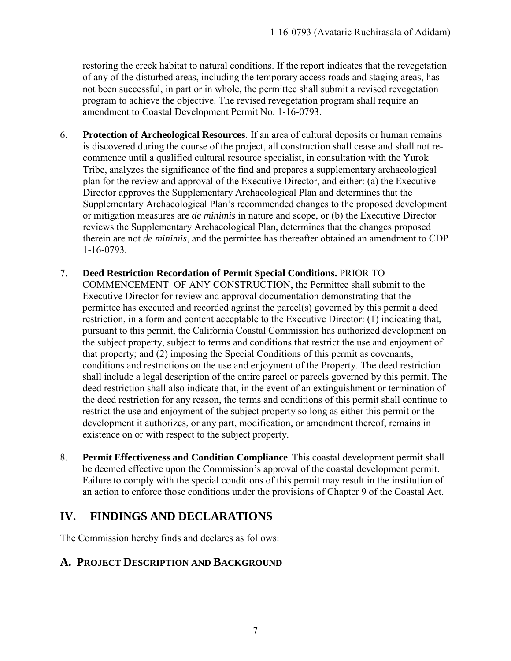restoring the creek habitat to natural conditions. If the report indicates that the revegetation of any of the disturbed areas, including the temporary access roads and staging areas, has not been successful, in part or in whole, the permittee shall submit a revised revegetation program to achieve the objective. The revised revegetation program shall require an amendment to Coastal Development Permit No. 1-16-0793.

- 6. **Protection of Archeological Resources**. If an area of cultural deposits or human remains is discovered during the course of the project, all construction shall cease and shall not recommence until a qualified cultural resource specialist, in consultation with the Yurok Tribe, analyzes the significance of the find and prepares a supplementary archaeological plan for the review and approval of the Executive Director, and either: (a) the Executive Director approves the Supplementary Archaeological Plan and determines that the Supplementary Archaeological Plan's recommended changes to the proposed development or mitigation measures are *de minimis* in nature and scope, or (b) the Executive Director reviews the Supplementary Archaeological Plan, determines that the changes proposed therein are not *de minimis*, and the permittee has thereafter obtained an amendment to CDP 1-16-0793.
- 7. **Deed Restriction Recordation of Permit Special Conditions.** PRIOR TO COMMENCEMENT OF ANY CONSTRUCTION, the Permittee shall submit to the Executive Director for review and approval documentation demonstrating that the permittee has executed and recorded against the parcel(s) governed by this permit a deed restriction, in a form and content acceptable to the Executive Director: (1) indicating that, pursuant to this permit, the California Coastal Commission has authorized development on the subject property, subject to terms and conditions that restrict the use and enjoyment of that property; and (2) imposing the Special Conditions of this permit as covenants, conditions and restrictions on the use and enjoyment of the Property. The deed restriction shall include a legal description of the entire parcel or parcels governed by this permit. The deed restriction shall also indicate that, in the event of an extinguishment or termination of the deed restriction for any reason, the terms and conditions of this permit shall continue to restrict the use and enjoyment of the subject property so long as either this permit or the development it authorizes, or any part, modification, or amendment thereof, remains in existence on or with respect to the subject property.
- 8. **Permit Effectiveness and Condition Compliance**. This coastal development permit shall be deemed effective upon the Commission's approval of the coastal development permit. Failure to comply with the special conditions of this permit may result in the institution of an action to enforce those conditions under the provisions of Chapter 9 of the Coastal Act.

#### <span id="page-6-0"></span>**IV. FINDINGS AND DECLARATIONS**

The Commission hereby finds and declares as follows:

#### <span id="page-6-1"></span>**A. PROJECT DESCRIPTION AND BACKGROUND**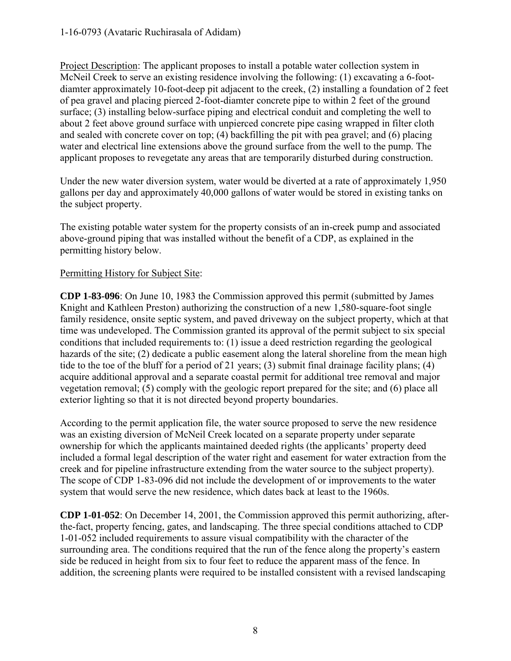1-16-0793 (Avataric Ruchirasala of Adidam)

Project Description: The applicant proposes to install a potable water collection system in McNeil Creek to serve an existing residence involving the following: (1) excavating a 6-footdiamter approximately 10-foot-deep pit adjacent to the creek, (2) installing a foundation of 2 feet of pea gravel and placing pierced 2-foot-diamter concrete pipe to within 2 feet of the ground surface; (3) installing below-surface piping and electrical conduit and completing the well to about 2 feet above ground surface with unpierced concrete pipe casing wrapped in filter cloth and sealed with concrete cover on top; (4) backfilling the pit with pea gravel; and (6) placing water and electrical line extensions above the ground surface from the well to the pump. The applicant proposes to revegetate any areas that are temporarily disturbed during construction.

Under the new water diversion system, water would be diverted at a rate of approximately 1,950 gallons per day and approximately 40,000 gallons of water would be stored in existing tanks on the subject property.

The existing potable water system for the property consists of an in-creek pump and associated above-ground piping that was installed without the benefit of a CDP, as explained in the permitting history below.

#### Permitting History for Subject Site:

**CDP 1-83-096**: On June 10, 1983 the Commission approved this permit (submitted by James Knight and Kathleen Preston) authorizing the construction of a new 1,580-square-foot single family residence, onsite septic system, and paved driveway on the subject property, which at that time was undeveloped. The Commission granted its approval of the permit subject to six special conditions that included requirements to: (1) issue a deed restriction regarding the geological hazards of the site; (2) dedicate a public easement along the lateral shoreline from the mean high tide to the toe of the bluff for a period of 21 years; (3) submit final drainage facility plans; (4) acquire additional approval and a separate coastal permit for additional tree removal and major vegetation removal; (5) comply with the geologic report prepared for the site; and (6) place all exterior lighting so that it is not directed beyond property boundaries.

According to the permit application file, the water source proposed to serve the new residence was an existing diversion of McNeil Creek located on a separate property under separate ownership for which the applicants maintained deeded rights (the applicants' property deed included a formal legal description of the water right and easement for water extraction from the creek and for pipeline infrastructure extending from the water source to the subject property). The scope of CDP 1-83-096 did not include the development of or improvements to the water system that would serve the new residence, which dates back at least to the 1960s.

**CDP 1-01-052**: On December 14, 2001, the Commission approved this permit authorizing, afterthe-fact, property fencing, gates, and landscaping. The three special conditions attached to CDP 1-01-052 included requirements to assure visual compatibility with the character of the surrounding area. The conditions required that the run of the fence along the property's eastern side be reduced in height from six to four feet to reduce the apparent mass of the fence. In addition, the screening plants were required to be installed consistent with a revised landscaping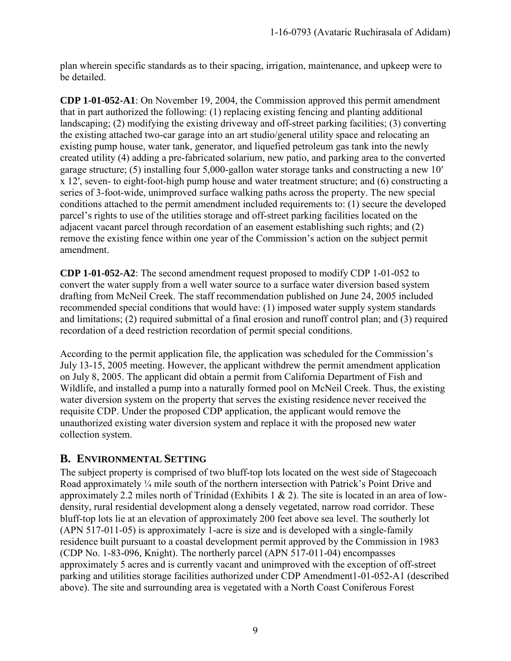plan wherein specific standards as to their spacing, irrigation, maintenance, and upkeep were to be detailed.

**CDP 1-01-052-A1**: On November 19, 2004, the Commission approved this permit amendment that in part authorized the following: (1) replacing existing fencing and planting additional landscaping; (2) modifying the existing driveway and off-street parking facilities; (3) converting the existing attached two-car garage into an art studio/general utility space and relocating an existing pump house, water tank, generator, and liquefied petroleum gas tank into the newly created utility (4) adding a pre-fabricated solarium, new patio, and parking area to the converted garage structure; (5) installing four 5,000-gallon water storage tanks and constructing a new 10′ x 12′, seven- to eight-foot-high pump house and water treatment structure; and (6) constructing a series of 3-foot-wide, unimproved surface walking paths across the property. The new special conditions attached to the permit amendment included requirements to: (1) secure the developed parcel's rights to use of the utilities storage and off-street parking facilities located on the adjacent vacant parcel through recordation of an easement establishing such rights; and (2) remove the existing fence within one year of the Commission's action on the subject permit amendment.

**CDP 1-01-052-A2**: The second amendment request proposed to modify CDP 1-01-052 to convert the water supply from a well water source to a surface water diversion based system drafting from McNeil Creek. The staff recommendation published on June 24, 2005 included recommended special conditions that would have: (1) imposed water supply system standards and limitations; (2) required submittal of a final erosion and runoff control plan; and (3) required recordation of a deed restriction recordation of permit special conditions.

According to the permit application file, the application was scheduled for the Commission's July 13-15, 2005 meeting. However, the applicant withdrew the permit amendment application on July 8, 2005. The applicant did obtain a permit from California Department of Fish and Wildlife, and installed a pump into a naturally formed pool on McNeil Creek. Thus, the existing water diversion system on the property that serves the existing residence never received the requisite CDP. Under the proposed CDP application, the applicant would remove the unauthorized existing water diversion system and replace it with the proposed new water collection system.

#### <span id="page-8-0"></span>**B. ENVIRONMENTAL SETTING**

The subject property is comprised of two bluff-top lots located on the west side of Stagecoach Road approximately <sup>1/4</sup> mile south of the northern intersection with Patrick's Point Drive and approximately 2.2 miles north of Trinidad (Exhibits 1  $\&$  2). The site is located in an area of lowdensity, rural residential development along a densely vegetated, narrow road corridor. These bluff-top lots lie at an elevation of approximately 200 feet above sea level. The southerly lot (APN 517-011-05) is approximately 1-acre is size and is developed with a single-family residence built pursuant to a coastal development permit approved by the Commission in 1983 (CDP No. 1-83-096, Knight). The northerly parcel (APN 517-011-04) encompasses approximately 5 acres and is currently vacant and unimproved with the exception of off-street parking and utilities storage facilities authorized under CDP Amendment1-01-052-A1 (described above). The site and surrounding area is vegetated with a North Coast Coniferous Forest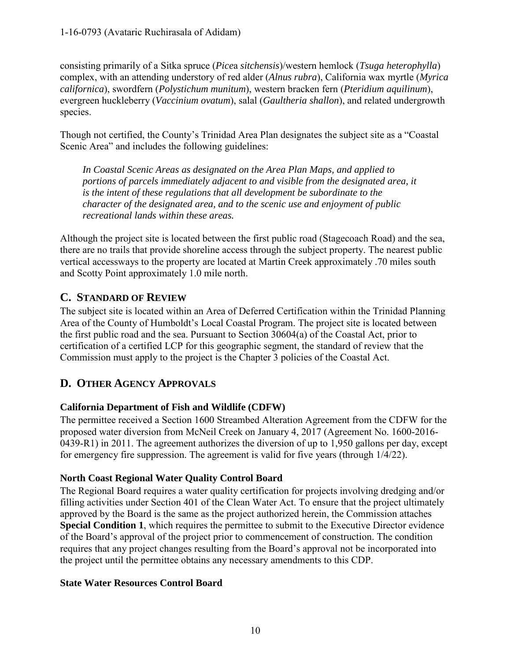consisting primarily of a Sitka spruce (*Pice*a *sitchensis*)/western hemlock (*Tsuga heterophylla*) complex, with an attending understory of red alder (*Alnus rubra*), California wax myrtle (*Myrica californica*), swordfern (*Polystichum munitum*), western bracken fern (*Pteridium aquilinum*), evergreen huckleberry (*Vaccinium ovatum*), salal (*Gaultheria shallon*), and related undergrowth species.

Though not certified, the County's Trinidad Area Plan designates the subject site as a "Coastal Scenic Area" and includes the following guidelines:

*In Coastal Scenic Areas as designated on the Area Plan Maps, and applied to portions of parcels immediately adjacent to and visible from the designated area, it is the intent of these regulations that all development be subordinate to the character of the designated area, and to the scenic use and enjoyment of public recreational lands within these areas.* 

Although the project site is located between the first public road (Stagecoach Road) and the sea, there are no trails that provide shoreline access through the subject property. The nearest public vertical accessways to the property are located at Martin Creek approximately .70 miles south and Scotty Point approximately 1.0 mile north.

## <span id="page-9-0"></span>**C. STANDARD OF REVIEW**

The subject site is located within an Area of Deferred Certification within the Trinidad Planning Area of the County of Humboldt's Local Coastal Program. The project site is located between the first public road and the sea. Pursuant to Section 30604(a) of the Coastal Act, prior to certification of a certified LCP for this geographic segment, the standard of review that the Commission must apply to the project is the Chapter 3 policies of the Coastal Act.

## <span id="page-9-1"></span>**D. OTHER AGENCY APPROVALS**

#### **California Department of Fish and Wildlife (CDFW)**

The permittee received a Section 1600 Streambed Alteration Agreement from the CDFW for the proposed water diversion from McNeil Creek on January 4, 2017 (Agreement No. 1600-2016- 0439-R1) in 2011. The agreement authorizes the diversion of up to 1,950 gallons per day, except for emergency fire suppression. The agreement is valid for five years (through 1/4/22).

#### **North Coast Regional Water Quality Control Board**

The Regional Board requires a water quality certification for projects involving dredging and/or filling activities under Section 401 of the Clean Water Act. To ensure that the project ultimately approved by the Board is the same as the project authorized herein, the Commission attaches **Special Condition 1**, which requires the permittee to submit to the Executive Director evidence of the Board's approval of the project prior to commencement of construction. The condition requires that any project changes resulting from the Board's approval not be incorporated into the project until the permittee obtains any necessary amendments to this CDP.

#### **State Water Resources Control Board**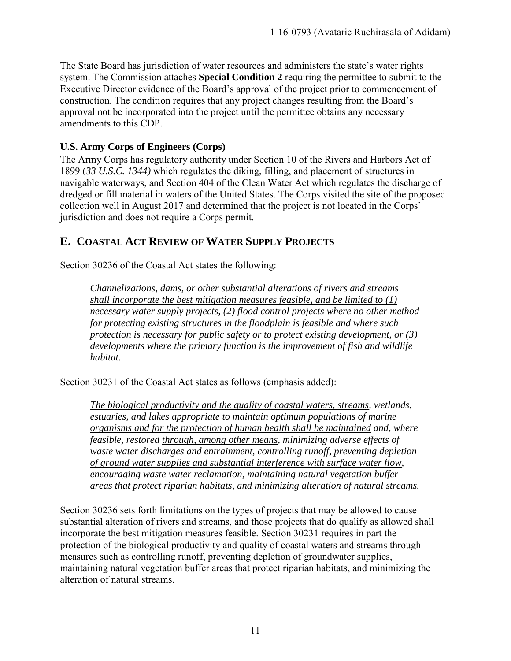The State Board has jurisdiction of water resources and administers the state's water rights system. The Commission attaches **Special Condition 2** requiring the permittee to submit to the Executive Director evidence of the Board's approval of the project prior to commencement of construction. The condition requires that any project changes resulting from the Board's approval not be incorporated into the project until the permittee obtains any necessary amendments to this CDP.

#### **U.S. Army Corps of Engineers (Corps)**

The Army Corps has regulatory authority under Section 10 of the Rivers and Harbors Act of 1899 (*33 U.S.C. 1344)* which regulates the diking, filling, and placement of structures in navigable waterways, and Section 404 of the Clean Water Act which regulates the discharge of dredged or fill material in waters of the United States. The Corps visited the site of the proposed collection well in August 2017 and determined that the project is not located in the Corps' jurisdiction and does not require a Corps permit.

#### <span id="page-10-0"></span>**E. COASTAL ACT REVIEW OF WATER SUPPLY PROJECTS**

Section 30236 of the Coastal Act states the following:

*Channelizations, dams, or other substantial alterations of rivers and streams shall incorporate the best mitigation measures feasible, and be limited to (1) necessary water supply projects, (2) flood control projects where no other method for protecting existing structures in the floodplain is feasible and where such protection is necessary for public safety or to protect existing development, or (3) developments where the primary function is the improvement of fish and wildlife habitat.* 

Section 30231 of the Coastal Act states as follows (emphasis added):

*The biological productivity and the quality of coastal waters, streams, wetlands, estuaries, and lakes appropriate to maintain optimum populations of marine organisms and for the protection of human health shall be maintained and, where feasible, restored through, among other means, minimizing adverse effects of waste water discharges and entrainment, controlling runoff, preventing depletion of ground water supplies and substantial interference with surface water flow, encouraging waste water reclamation, maintaining natural vegetation buffer areas that protect riparian habitats, and minimizing alteration of natural streams.* 

Section 30236 sets forth limitations on the types of projects that may be allowed to cause substantial alteration of rivers and streams, and those projects that do qualify as allowed shall incorporate the best mitigation measures feasible. Section 30231 requires in part the protection of the biological productivity and quality of coastal waters and streams through measures such as controlling runoff, preventing depletion of groundwater supplies, maintaining natural vegetation buffer areas that protect riparian habitats, and minimizing the alteration of natural streams.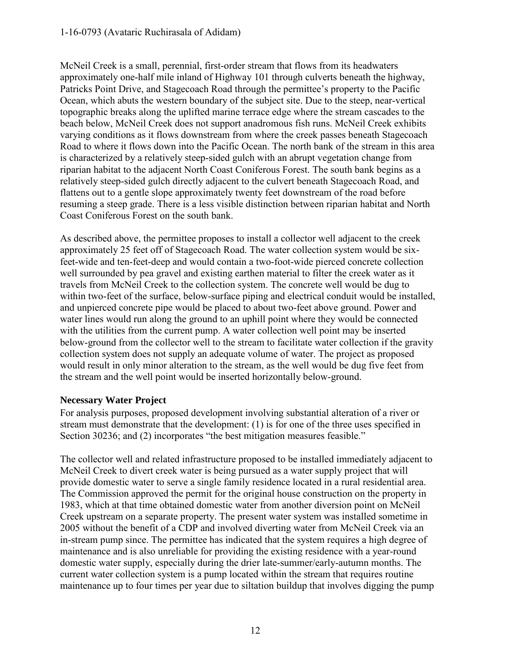#### 1-16-0793 (Avataric Ruchirasala of Adidam)

McNeil Creek is a small, perennial, first-order stream that flows from its headwaters approximately one-half mile inland of Highway 101 through culverts beneath the highway, Patricks Point Drive, and Stagecoach Road through the permittee's property to the Pacific Ocean, which abuts the western boundary of the subject site. Due to the steep, near-vertical topographic breaks along the uplifted marine terrace edge where the stream cascades to the beach below, McNeil Creek does not support anadromous fish runs. McNeil Creek exhibits varying conditions as it flows downstream from where the creek passes beneath Stagecoach Road to where it flows down into the Pacific Ocean. The north bank of the stream in this area is characterized by a relatively steep-sided gulch with an abrupt vegetation change from riparian habitat to the adjacent North Coast Coniferous Forest. The south bank begins as a relatively steep-sided gulch directly adjacent to the culvert beneath Stagecoach Road, and flattens out to a gentle slope approximately twenty feet downstream of the road before resuming a steep grade. There is a less visible distinction between riparian habitat and North Coast Coniferous Forest on the south bank.

As described above, the permittee proposes to install a collector well adjacent to the creek approximately 25 feet off of Stagecoach Road. The water collection system would be sixfeet-wide and ten-feet-deep and would contain a two-foot-wide pierced concrete collection well surrounded by pea gravel and existing earthen material to filter the creek water as it travels from McNeil Creek to the collection system. The concrete well would be dug to within two-feet of the surface, below-surface piping and electrical conduit would be installed, and unpierced concrete pipe would be placed to about two-feet above ground. Power and water lines would run along the ground to an uphill point where they would be connected with the utilities from the current pump. A water collection well point may be inserted below-ground from the collector well to the stream to facilitate water collection if the gravity collection system does not supply an adequate volume of water. The project as proposed would result in only minor alteration to the stream, as the well would be dug five feet from the stream and the well point would be inserted horizontally below-ground.

#### **Necessary Water Project**

For analysis purposes, proposed development involving substantial alteration of a river or stream must demonstrate that the development: (1) is for one of the three uses specified in Section 30236; and (2) incorporates "the best mitigation measures feasible."

The collector well and related infrastructure proposed to be installed immediately adjacent to McNeil Creek to divert creek water is being pursued as a water supply project that will provide domestic water to serve a single family residence located in a rural residential area. The Commission approved the permit for the original house construction on the property in 1983, which at that time obtained domestic water from another diversion point on McNeil Creek upstream on a separate property. The present water system was installed sometime in 2005 without the benefit of a CDP and involved diverting water from McNeil Creek via an in-stream pump since. The permittee has indicated that the system requires a high degree of maintenance and is also unreliable for providing the existing residence with a year-round domestic water supply, especially during the drier late-summer/early-autumn months. The current water collection system is a pump located within the stream that requires routine maintenance up to four times per year due to siltation buildup that involves digging the pump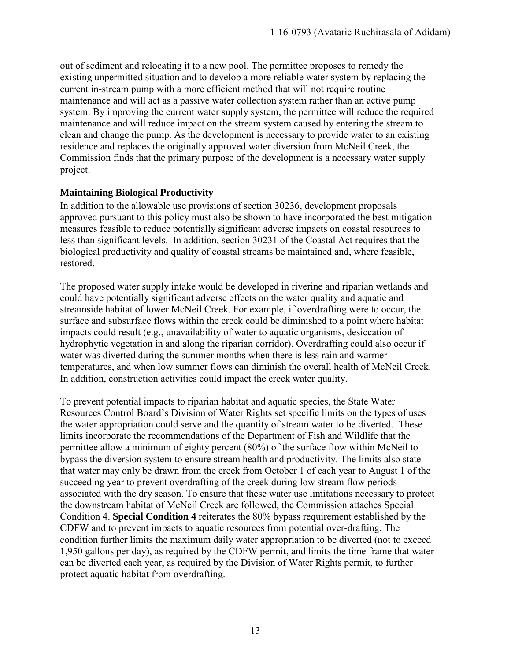out of sediment and relocating it to a new pool. The permittee proposes to remedy the existing unpermitted situation and to develop a more reliable water system by replacing the current in-stream pump with a more efficient method that will not require routine maintenance and will act as a passive water collection system rather than an active pump system. By improving the current water supply system, the permittee will reduce the required maintenance and will reduce impact on the stream system caused by entering the stream to clean and change the pump. As the development is necessary to provide water to an existing residence and replaces the originally approved water diversion from McNeil Creek, the Commission finds that the primary purpose of the development is a necessary water supply project.

#### **Maintaining Biological Productivity**

In addition to the allowable use provisions of section 30236, development proposals approved pursuant to this policy must also be shown to have incorporated the best mitigation measures feasible to reduce potentially significant adverse impacts on coastal resources to less than significant levels. In addition, section 30231 of the Coastal Act requires that the biological productivity and quality of coastal streams be maintained and, where feasible, restored.

The proposed water supply intake would be developed in riverine and riparian wetlands and could have potentially significant adverse effects on the water quality and aquatic and streamside habitat of lower McNeil Creek. For example, if overdrafting were to occur, the surface and subsurface flows within the creek could be diminished to a point where habitat impacts could result (e.g., unavailability of water to aquatic organisms, desiccation of hydrophytic vegetation in and along the riparian corridor). Overdrafting could also occur if water was diverted during the summer months when there is less rain and warmer temperatures, and when low summer flows can diminish the overall health of McNeil Creek. In addition, construction activities could impact the creek water quality.

To prevent potential impacts to riparian habitat and aquatic species, the State Water Resources Control Board's Division of Water Rights set specific limits on the types of uses the water appropriation could serve and the quantity of stream water to be diverted. These limits incorporate the recommendations of the Department of Fish and Wildlife that the permittee allow a minimum of eighty percent (80%) of the surface flow within McNeil to bypass the diversion system to ensure stream health and productivity. The limits also state that water may only be drawn from the creek from October 1 of each year to August 1 of the succeeding year to prevent overdrafting of the creek during low stream flow periods associated with the dry season. To ensure that these water use limitations necessary to protect the downstream habitat of McNeil Creek are followed, the Commission attaches Special Condition 4. **Special Condition 4** reiterates the 80% bypass requirement established by the CDFW and to prevent impacts to aquatic resources from potential over-drafting. The condition further limits the maximum daily water appropriation to be diverted (not to exceed 1,950 gallons per day), as required by the CDFW permit, and limits the time frame that water can be diverted each year, as required by the Division of Water Rights permit, to further protect aquatic habitat from overdrafting.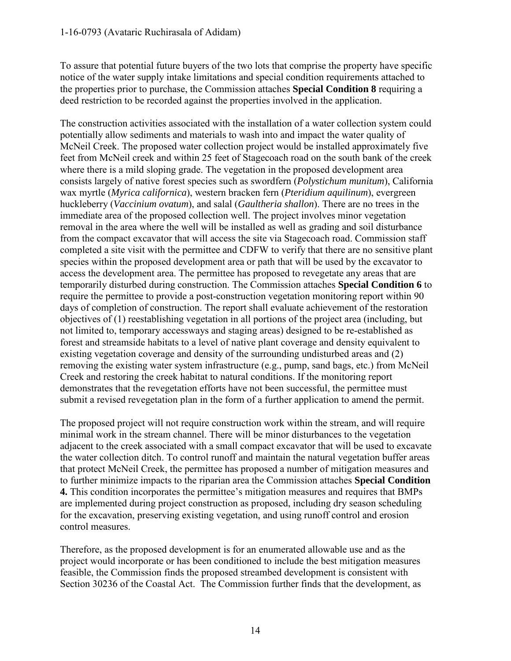To assure that potential future buyers of the two lots that comprise the property have specific notice of the water supply intake limitations and special condition requirements attached to the properties prior to purchase, the Commission attaches **Special Condition 8** requiring a deed restriction to be recorded against the properties involved in the application.

The construction activities associated with the installation of a water collection system could potentially allow sediments and materials to wash into and impact the water quality of McNeil Creek. The proposed water collection project would be installed approximately five feet from McNeil creek and within 25 feet of Stagecoach road on the south bank of the creek where there is a mild sloping grade. The vegetation in the proposed development area consists largely of native forest species such as swordfern (*Polystichum munitum*), California wax myrtle (*Myrica californica*), western bracken fern (*Pteridium aquilinum*), evergreen huckleberry (*Vaccinium ovatum*), and salal (*Gaultheria shallon*). There are no trees in the immediate area of the proposed collection well. The project involves minor vegetation removal in the area where the well will be installed as well as grading and soil disturbance from the compact excavator that will access the site via Stagecoach road. Commission staff completed a site visit with the permittee and CDFW to verify that there are no sensitive plant species within the proposed development area or path that will be used by the excavator to access the development area. The permittee has proposed to revegetate any areas that are temporarily disturbed during construction. The Commission attaches **Special Condition 6** to require the permittee to provide a post-construction vegetation monitoring report within 90 days of completion of construction. The report shall evaluate achievement of the restoration objectives of (1) reestablishing vegetation in all portions of the project area (including, but not limited to, temporary accessways and staging areas) designed to be re-established as forest and streamside habitats to a level of native plant coverage and density equivalent to existing vegetation coverage and density of the surrounding undisturbed areas and (2) removing the existing water system infrastructure (e.g., pump, sand bags, etc.) from McNeil Creek and restoring the creek habitat to natural conditions. If the monitoring report demonstrates that the revegetation efforts have not been successful, the permittee must submit a revised revegetation plan in the form of a further application to amend the permit.

The proposed project will not require construction work within the stream, and will require minimal work in the stream channel. There will be minor disturbances to the vegetation adjacent to the creek associated with a small compact excavator that will be used to excavate the water collection ditch. To control runoff and maintain the natural vegetation buffer areas that protect McNeil Creek, the permittee has proposed a number of mitigation measures and to further minimize impacts to the riparian area the Commission attaches **Special Condition 4.** This condition incorporates the permittee's mitigation measures and requires that BMPs are implemented during project construction as proposed, including dry season scheduling for the excavation, preserving existing vegetation, and using runoff control and erosion control measures.

Therefore, as the proposed development is for an enumerated allowable use and as the project would incorporate or has been conditioned to include the best mitigation measures feasible, the Commission finds the proposed streambed development is consistent with Section 30236 of the Coastal Act. The Commission further finds that the development, as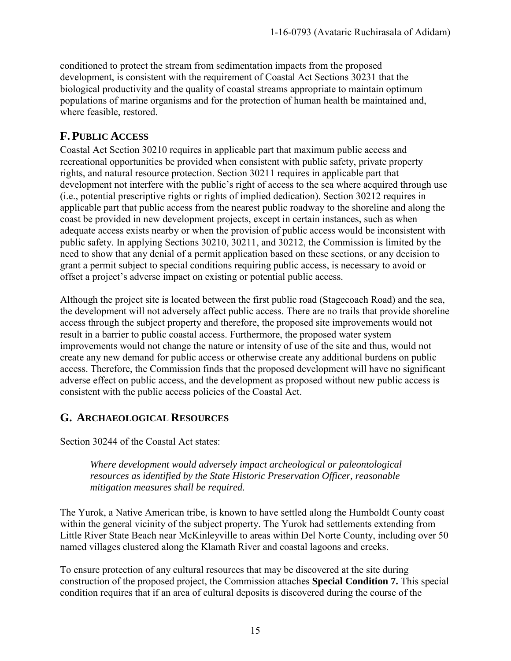conditioned to protect the stream from sedimentation impacts from the proposed development, is consistent with the requirement of Coastal Act Sections 30231 that the biological productivity and the quality of coastal streams appropriate to maintain optimum populations of marine organisms and for the protection of human health be maintained and, where feasible, restored.

#### <span id="page-14-0"></span>**F. PUBLIC ACCESS**

Coastal Act Section 30210 requires in applicable part that maximum public access and recreational opportunities be provided when consistent with public safety, private property rights, and natural resource protection. Section 30211 requires in applicable part that development not interfere with the public's right of access to the sea where acquired through use (i.e., potential prescriptive rights or rights of implied dedication). Section 30212 requires in applicable part that public access from the nearest public roadway to the shoreline and along the coast be provided in new development projects, except in certain instances, such as when adequate access exists nearby or when the provision of public access would be inconsistent with public safety. In applying Sections 30210, 30211, and 30212, the Commission is limited by the need to show that any denial of a permit application based on these sections, or any decision to grant a permit subject to special conditions requiring public access, is necessary to avoid or offset a project's adverse impact on existing or potential public access.

Although the project site is located between the first public road (Stagecoach Road) and the sea, the development will not adversely affect public access. There are no trails that provide shoreline access through the subject property and therefore, the proposed site improvements would not result in a barrier to public coastal access. Furthermore, the proposed water system improvements would not change the nature or intensity of use of the site and thus, would not create any new demand for public access or otherwise create any additional burdens on public access. Therefore, the Commission finds that the proposed development will have no significant adverse effect on public access, and the development as proposed without new public access is consistent with the public access policies of the Coastal Act.

#### <span id="page-14-1"></span>**G. ARCHAEOLOGICAL RESOURCES**

Section 30244 of the Coastal Act states:

*Where development would adversely impact archeological or paleontological resources as identified by the State Historic Preservation Officer, reasonable mitigation measures shall be required.* 

The Yurok, a Native American tribe, is known to have settled along the Humboldt County coast within the general vicinity of the subject property. The Yurok had settlements extending from Little River State Beach near McKinleyville to areas within Del Norte County, including over 50 named villages clustered along the Klamath River and coastal lagoons and creeks.

To ensure protection of any cultural resources that may be discovered at the site during construction of the proposed project, the Commission attaches **Special Condition 7.** This special condition requires that if an area of cultural deposits is discovered during the course of the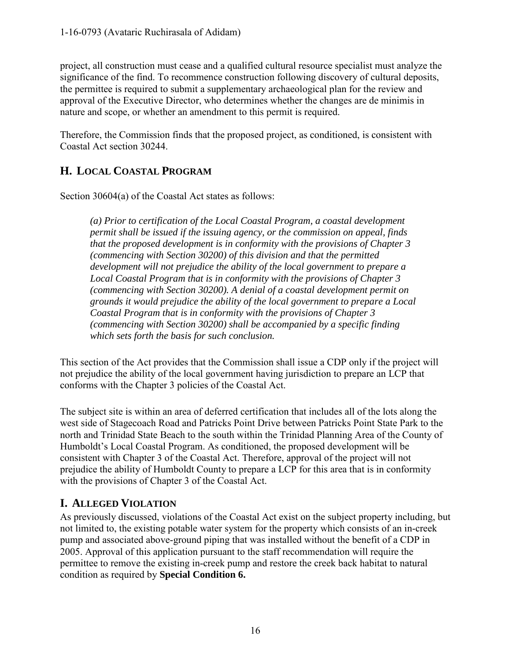project, all construction must cease and a qualified cultural resource specialist must analyze the significance of the find. To recommence construction following discovery of cultural deposits, the permittee is required to submit a supplementary archaeological plan for the review and approval of the Executive Director, who determines whether the changes are de minimis in nature and scope, or whether an amendment to this permit is required.

Therefore, the Commission finds that the proposed project, as conditioned, is consistent with Coastal Act section 30244.

## <span id="page-15-0"></span>**H. LOCAL COASTAL PROGRAM**

Section 30604(a) of the Coastal Act states as follows:

*(a) Prior to certification of the Local Coastal Program, a coastal development permit shall be issued if the issuing agency, or the commission on appeal, finds that the proposed development is in conformity with the provisions of Chapter 3 (commencing with Section 30200) of this division and that the permitted development will not prejudice the ability of the local government to prepare a Local Coastal Program that is in conformity with the provisions of Chapter 3 (commencing with Section 30200). A denial of a coastal development permit on grounds it would prejudice the ability of the local government to prepare a Local Coastal Program that is in conformity with the provisions of Chapter 3 (commencing with Section 30200) shall be accompanied by a specific finding which sets forth the basis for such conclusion.* 

This section of the Act provides that the Commission shall issue a CDP only if the project will not prejudice the ability of the local government having jurisdiction to prepare an LCP that conforms with the Chapter 3 policies of the Coastal Act.

The subject site is within an area of deferred certification that includes all of the lots along the west side of Stagecoach Road and Patricks Point Drive between Patricks Point State Park to the north and Trinidad State Beach to the south within the Trinidad Planning Area of the County of Humboldt's Local Coastal Program. As conditioned, the proposed development will be consistent with Chapter 3 of the Coastal Act. Therefore, approval of the project will not prejudice the ability of Humboldt County to prepare a LCP for this area that is in conformity with the provisions of Chapter 3 of the Coastal Act.

## <span id="page-15-1"></span>**I. ALLEGED VIOLATION**

As previously discussed, violations of the Coastal Act exist on the subject property including, but not limited to, the existing potable water system for the property which consists of an in-creek pump and associated above-ground piping that was installed without the benefit of a CDP in 2005. Approval of this application pursuant to the staff recommendation will require the permittee to remove the existing in-creek pump and restore the creek back habitat to natural condition as required by **Special Condition 6.**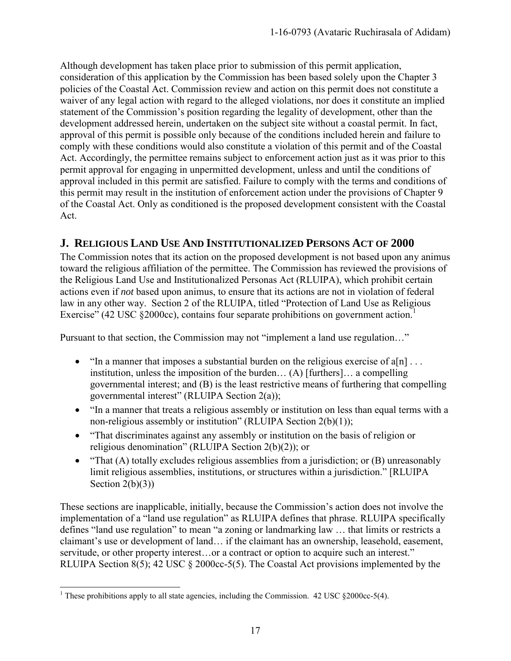Although development has taken place prior to submission of this permit application, consideration of this application by the Commission has been based solely upon the Chapter 3 policies of the Coastal Act. Commission review and action on this permit does not constitute a waiver of any legal action with regard to the alleged violations, nor does it constitute an implied statement of the Commission's position regarding the legality of development, other than the development addressed herein, undertaken on the subject site without a coastal permit. In fact, approval of this permit is possible only because of the conditions included herein and failure to comply with these conditions would also constitute a violation of this permit and of the Coastal Act. Accordingly, the permittee remains subject to enforcement action just as it was prior to this permit approval for engaging in unpermitted development, unless and until the conditions of approval included in this permit are satisfied. Failure to comply with the terms and conditions of this permit may result in the institution of enforcement action under the provisions of Chapter 9 of the Coastal Act. Only as conditioned is the proposed development consistent with the Coastal Act.

#### <span id="page-16-0"></span>**J. RELIGIOUS LAND USE AND INSTITUTIONALIZED PERSONS ACT OF 2000**

The Commission notes that its action on the proposed development is not based upon any animus toward the religious affiliation of the permittee. The Commission has reviewed the provisions of the Religious Land Use and Institutionalized Personas Act (RLUIPA), which prohibit certain actions even if *not* based upon animus, to ensure that its actions are not in violation of federal law in any other way. Section 2 of the RLUIPA, titled "Protection of Land Use as Religious Exercise" (42 USC §2000cc), contains four separate prohibitions on government action.<sup>1</sup>

Pursuant to that section, the Commission may not "implement a land use regulation…"

- "In a manner that imposes a substantial burden on the religious exercise of  $a[n]$ ... institution, unless the imposition of the burden… (A) [furthers]… a compelling governmental interest; and (B) is the least restrictive means of furthering that compelling governmental interest" (RLUIPA Section 2(a));
- "In a manner that treats a religious assembly or institution on less than equal terms with a non-religious assembly or institution" (RLUIPA Section 2(b)(1));
- "That discriminates against any assembly or institution on the basis of religion or religious denomination" (RLUIPA Section 2(b)(2)); or
- "That (A) totally excludes religious assemblies from a jurisdiction; or (B) unreasonably limit religious assemblies, institutions, or structures within a jurisdiction." [RLUIPA Section  $2(b)(3)$ )

These sections are inapplicable, initially, because the Commission's action does not involve the implementation of a "land use regulation" as RLUIPA defines that phrase. RLUIPA specifically defines "land use regulation" to mean "a zoning or landmarking law … that limits or restricts a claimant's use or development of land… if the claimant has an ownership, leasehold, easement, servitude, or other property interest...or a contract or option to acquire such an interest." RLUIPA Section 8(5); 42 USC § 2000cc-5(5). The Coastal Act provisions implemented by the

 $\overline{a}$ <sup>1</sup> These prohibitions apply to all state agencies, including the Commission.  $42 \text{ USC } \S 2000 \text{cc-}5(4)$ .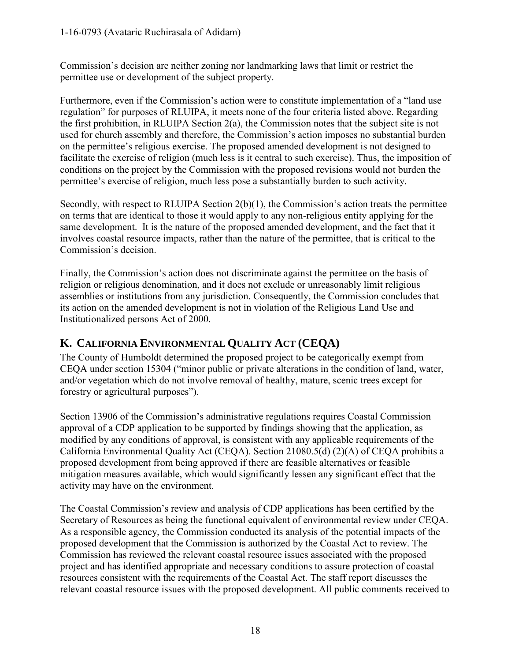Commission's decision are neither zoning nor landmarking laws that limit or restrict the permittee use or development of the subject property.

Furthermore, even if the Commission's action were to constitute implementation of a "land use regulation" for purposes of RLUIPA, it meets none of the four criteria listed above. Regarding the first prohibition, in RLUIPA Section 2(a), the Commission notes that the subject site is not used for church assembly and therefore, the Commission's action imposes no substantial burden on the permittee's religious exercise. The proposed amended development is not designed to facilitate the exercise of religion (much less is it central to such exercise). Thus, the imposition of conditions on the project by the Commission with the proposed revisions would not burden the permittee's exercise of religion, much less pose a substantially burden to such activity.

Secondly, with respect to RLUIPA Section  $2(b)(1)$ , the Commission's action treats the permittee on terms that are identical to those it would apply to any non-religious entity applying for the same development. It is the nature of the proposed amended development, and the fact that it involves coastal resource impacts, rather than the nature of the permittee, that is critical to the Commission's decision.

Finally, the Commission's action does not discriminate against the permittee on the basis of religion or religious denomination, and it does not exclude or unreasonably limit religious assemblies or institutions from any jurisdiction. Consequently, the Commission concludes that its action on the amended development is not in violation of the Religious Land Use and Institutionalized persons Act of 2000.

## <span id="page-17-0"></span>**K. CALIFORNIA ENVIRONMENTAL QUALITY ACT (CEQA)**

The County of Humboldt determined the proposed project to be categorically exempt from CEQA under section 15304 ("minor public or private alterations in the condition of land, water, and/or vegetation which do not involve removal of healthy, mature, scenic trees except for forestry or agricultural purposes").

Section 13906 of the Commission's administrative regulations requires Coastal Commission approval of a CDP application to be supported by findings showing that the application, as modified by any conditions of approval, is consistent with any applicable requirements of the California Environmental Quality Act (CEQA). Section 21080.5(d) (2)(A) of CEQA prohibits a proposed development from being approved if there are feasible alternatives or feasible mitigation measures available, which would significantly lessen any significant effect that the activity may have on the environment.

The Coastal Commission's review and analysis of CDP applications has been certified by the Secretary of Resources as being the functional equivalent of environmental review under CEQA. As a responsible agency, the Commission conducted its analysis of the potential impacts of the proposed development that the Commission is authorized by the Coastal Act to review. The Commission has reviewed the relevant coastal resource issues associated with the proposed project and has identified appropriate and necessary conditions to assure protection of coastal resources consistent with the requirements of the Coastal Act. The staff report discusses the relevant coastal resource issues with the proposed development. All public comments received to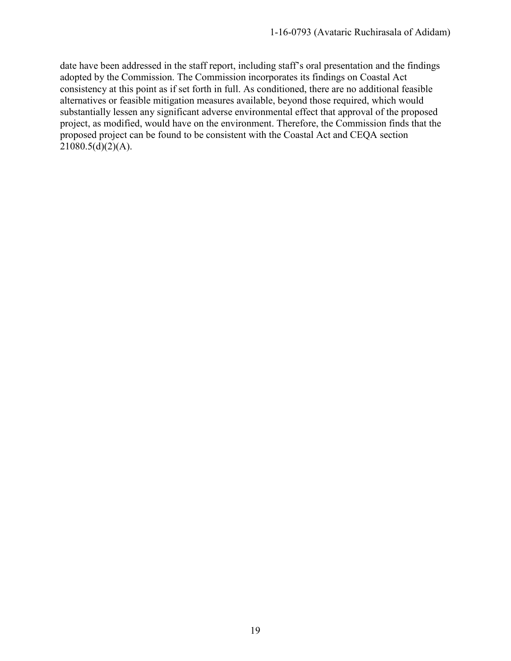date have been addressed in the staff report, including staff's oral presentation and the findings adopted by the Commission. The Commission incorporates its findings on Coastal Act consistency at this point as if set forth in full. As conditioned, there are no additional feasible alternatives or feasible mitigation measures available, beyond those required, which would substantially lessen any significant adverse environmental effect that approval of the proposed project, as modified, would have on the environment. Therefore, the Commission finds that the proposed project can be found to be consistent with the Coastal Act and CEQA section  $21080.5(d)(2)(A)$ .